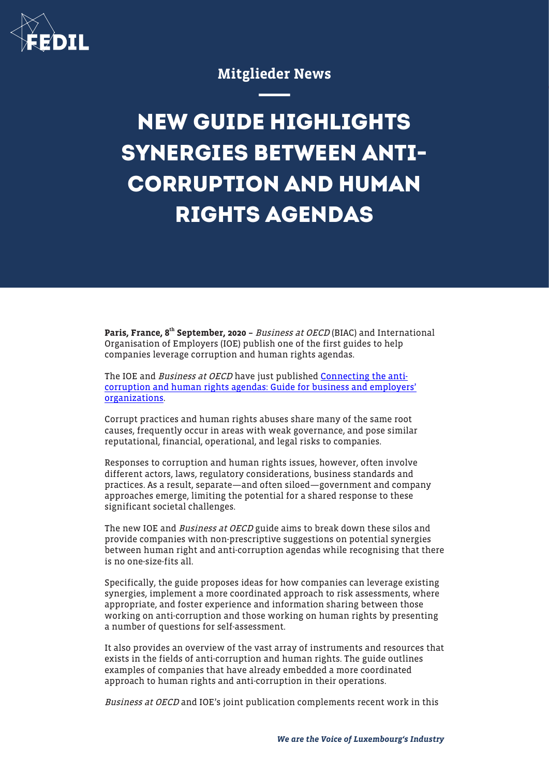

# Mitglieder News

# **NEW GUIDE HIGHLIGHTS SYNERGIES BETWEEN ANTI-CORRUPTION AND HUMAN RIGHTS AGENDAS**

Paris, France, 8<sup>th</sup> September, 2020 - Business at OECD (BIAC) and International Organisation of Employers (IOE) publish one of the first guides to help companies leverage corruption and human rights agendas.

The IOE and Business at OECD have just published [Connecting the anti](http://biac.org/wp-content/uploads/2020/09/2020-08-31-Business-at-OECD-IOE-AC-HR-guide.pdf)[corruption and human rights agendas: Guide for business and employers'](http://biac.org/wp-content/uploads/2020/09/2020-08-31-Business-at-OECD-IOE-AC-HR-guide.pdf) [organizations](http://biac.org/wp-content/uploads/2020/09/2020-08-31-Business-at-OECD-IOE-AC-HR-guide.pdf).

Corrupt practices and human rights abuses share many of the same root causes, frequently occur in areas with weak governance, and pose similar reputational, financial, operational, and legal risks to companies.

Responses to corruption and human rights issues, however, often involve different actors, laws, regulatory considerations, business standards and practices. As a result, separate—and often siloed—government and company approaches emerge, limiting the potential for a shared response to these significant societal challenges.

The new IOE and *Business at OECD* guide aims to break down these silos and provide companies with non-prescriptive suggestions on potential synergies between human right and anti-corruption agendas while recognising that there is no one-size-fits all.

Specifically, the guide proposes ideas for how companies can leverage existing synergies, implement a more coordinated approach to risk assessments, where appropriate, and foster experience and information sharing between those working on anti-corruption and those working on human rights by presenting a number of questions for self-assessment.

It also provides an overview of the vast array of instruments and resources that exists in the fields of anti-corruption and human rights. The guide outlines examples of companies that have already embedded a more coordinated approach to human rights and anti-corruption in their operations.

Business at OECD and IOE's joint publication complements recent work in this